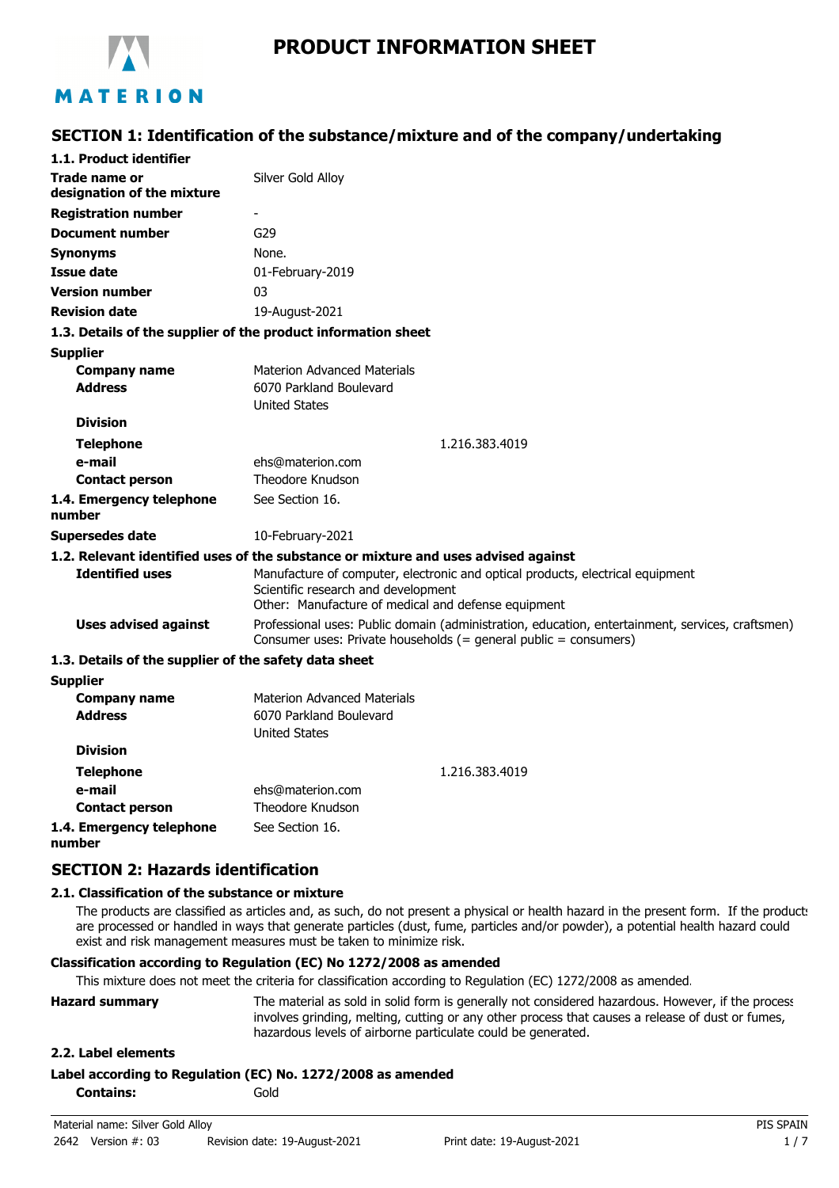

# MATERION

### **SECTION 1: Identification of the substance/mixture and of the company/undertaking**

| 1.1. Product identifier                                       |                                                                                                                                                                              |
|---------------------------------------------------------------|------------------------------------------------------------------------------------------------------------------------------------------------------------------------------|
| Trade name or<br>designation of the mixture                   | Silver Gold Alloy                                                                                                                                                            |
| <b>Registration number</b>                                    | $\blacksquare$                                                                                                                                                               |
| <b>Document number</b>                                        | G29                                                                                                                                                                          |
| <b>Synonyms</b>                                               | None.                                                                                                                                                                        |
| <b>Issue date</b>                                             | 01-February-2019                                                                                                                                                             |
| <b>Version number</b>                                         | 03                                                                                                                                                                           |
| <b>Revision date</b>                                          | 19-August-2021                                                                                                                                                               |
| 1.3. Details of the supplier of the product information sheet |                                                                                                                                                                              |
| <b>Supplier</b>                                               |                                                                                                                                                                              |
| <b>Company name</b>                                           | <b>Materion Advanced Materials</b>                                                                                                                                           |
| <b>Address</b>                                                | 6070 Parkland Boulevard<br><b>United States</b>                                                                                                                              |
| <b>Division</b>                                               |                                                                                                                                                                              |
| <b>Telephone</b>                                              | 1.216.383.4019                                                                                                                                                               |
| e-mail                                                        | ehs@materion.com                                                                                                                                                             |
| <b>Contact person</b>                                         | Theodore Knudson                                                                                                                                                             |
| 1.4. Emergency telephone<br>number                            | See Section 16.                                                                                                                                                              |
| <b>Supersedes date</b>                                        | 10-February-2021                                                                                                                                                             |
|                                                               | 1.2. Relevant identified uses of the substance or mixture and uses advised against                                                                                           |
| <b>Identified uses</b>                                        | Manufacture of computer, electronic and optical products, electrical equipment<br>Scientific research and development<br>Other: Manufacture of medical and defense equipment |
| <b>Uses advised against</b>                                   | Professional uses: Public domain (administration, education, entertainment, services, craftsmen)<br>Consumer uses: Private households (= general public = consumers)         |
| 1.3. Details of the supplier of the safety data sheet         |                                                                                                                                                                              |
| <b>Supplier</b>                                               |                                                                                                                                                                              |
| <b>Company name</b>                                           | Materion Advanced Materials                                                                                                                                                  |
| <b>Address</b>                                                | 6070 Parkland Boulevard                                                                                                                                                      |
|                                                               | <b>United States</b>                                                                                                                                                         |
| <b>Division</b>                                               |                                                                                                                                                                              |
| <b>Telephone</b>                                              | 1.216.383.4019                                                                                                                                                               |
| e-mail                                                        | ehs@materion.com                                                                                                                                                             |
| <b>Contact person</b>                                         | Theodore Knudson                                                                                                                                                             |

#### **1.4. Emergency telephone number**

### **SECTION 2: Hazards identification**

### **2.1. Classification of the substance or mixture**

The products are classified as articles and, as such, do not present a physical or health hazard in the present form. If the products are processed or handled in ways that generate particles (dust, fume, particles and/or powder), a potential health hazard could exist and risk management measures must be taken to minimize risk.

### **Classification according to Regulation (EC) No 1272/2008 as amended**

See Section 16.

This mixture does not meet the criteria for classification according to Regulation (EC) 1272/2008 as amended.

| <b>Hazard summary</b> | The material as sold in solid form is generally not considered hazardous. However, if the process |
|-----------------------|---------------------------------------------------------------------------------------------------|
|                       | involves grinding, melting, cutting or any other process that causes a release of dust or fumes,  |
|                       | hazardous levels of airborne particulate could be generated.                                      |

### **2.2. Label elements**

| Label according to Regulation (EC) No. 1272/2008 as amended |  |
|-------------------------------------------------------------|--|
|-------------------------------------------------------------|--|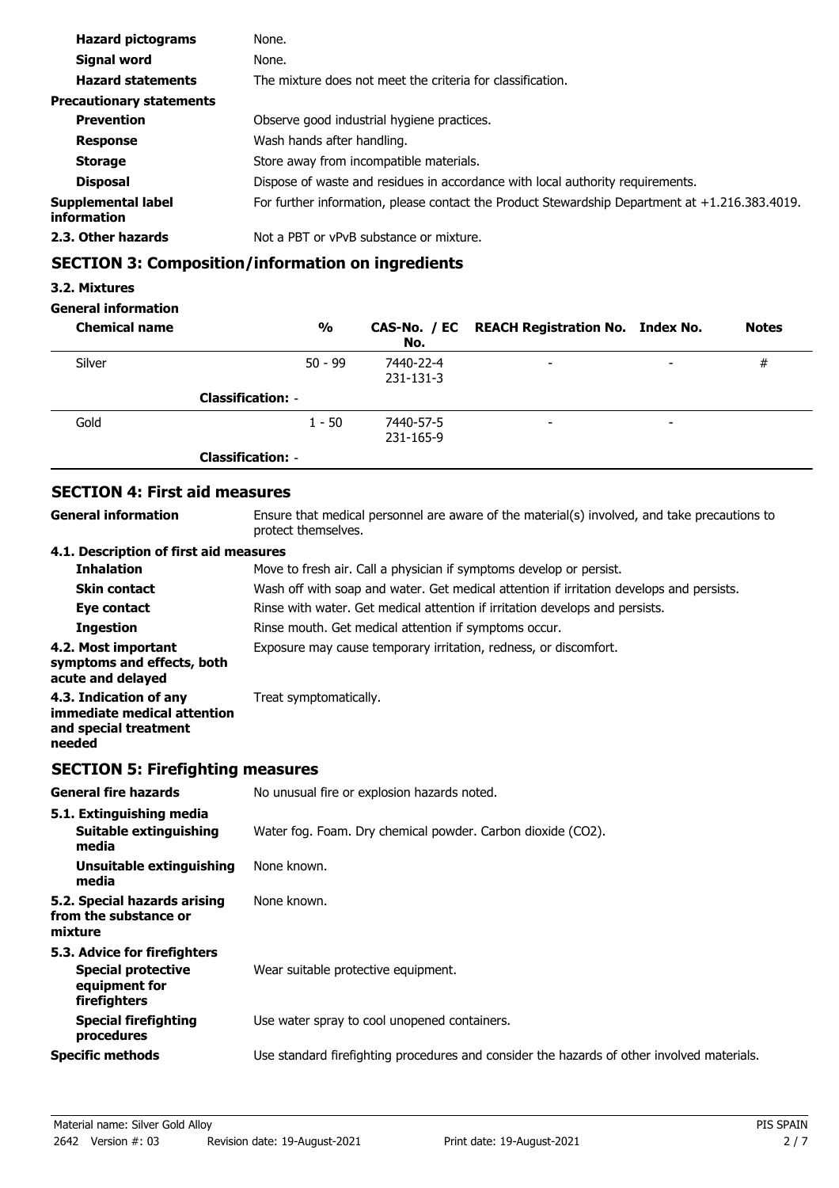| <b>Hazard pictograms</b>          | None.                                                                                          |
|-----------------------------------|------------------------------------------------------------------------------------------------|
| Signal word                       | None.                                                                                          |
| <b>Hazard statements</b>          | The mixture does not meet the criteria for classification.                                     |
| <b>Precautionary statements</b>   |                                                                                                |
| <b>Prevention</b>                 | Observe good industrial hygiene practices.                                                     |
| <b>Response</b>                   | Wash hands after handling.                                                                     |
| <b>Storage</b>                    | Store away from incompatible materials.                                                        |
| <b>Disposal</b>                   | Dispose of waste and residues in accordance with local authority requirements.                 |
| Supplemental label<br>information | For further information, please contact the Product Stewardship Department at +1.216.383.4019. |
| 2.3. Other hazards                | Not a PBT or vPvB substance or mixture.                                                        |

## **SECTION 3: Composition/information on ingredients**

### **3.2. Mixtures**

## **General information**

| <b>Chemical name</b> | $\frac{0}{0}$            | No.                    | CAS-No. / EC REACH Registration No. Index No. |   | <b>Notes</b> |
|----------------------|--------------------------|------------------------|-----------------------------------------------|---|--------------|
| Silver               | $50 - 99$                | 7440-22-4<br>231-131-3 | $\overline{\phantom{a}}$                      | - | #            |
|                      | <b>Classification: -</b> |                        |                                               |   |              |
| Gold                 | $1 - 50$                 | 7440-57-5<br>231-165-9 | $\overline{\phantom{a}}$                      | - |              |
|                      | <b>Classification: -</b> |                        |                                               |   |              |

## **SECTION 4: First aid measures**

| <b>General information</b>                                                                 | Ensure that medical personnel are aware of the material(s) involved, and take precautions to<br>protect themselves. |  |  |
|--------------------------------------------------------------------------------------------|---------------------------------------------------------------------------------------------------------------------|--|--|
| 4.1. Description of first aid measures                                                     |                                                                                                                     |  |  |
| <b>Inhalation</b>                                                                          | Move to fresh air. Call a physician if symptoms develop or persist.                                                 |  |  |
| <b>Skin contact</b>                                                                        | Wash off with soap and water. Get medical attention if irritation develops and persists.                            |  |  |
| Eye contact                                                                                | Rinse with water. Get medical attention if irritation develops and persists.                                        |  |  |
| <b>Ingestion</b>                                                                           | Rinse mouth. Get medical attention if symptoms occur.                                                               |  |  |
| 4.2. Most important<br>symptoms and effects, both<br>acute and delayed                     | Exposure may cause temporary irritation, redness, or discomfort.                                                    |  |  |
| 4.3. Indication of any<br>immediate medical attention<br>and special treatment<br>needed   | Treat symptomatically.                                                                                              |  |  |
| <b>SECTION 5: Firefighting measures</b>                                                    |                                                                                                                     |  |  |
| <b>General fire hazards</b>                                                                | No unusual fire or explosion hazards noted.                                                                         |  |  |
| 5.1. Extinguishing media<br>Suitable extinguishing<br>media                                | Water fog. Foam. Dry chemical powder. Carbon dioxide (CO2).                                                         |  |  |
| <b>Unsuitable extinguishing</b><br>media                                                   | None known.                                                                                                         |  |  |
| 5.2. Special hazards arising<br>from the substance or<br>mixture                           | None known.                                                                                                         |  |  |
| 5.3. Advice for firefighters<br><b>Special protective</b><br>equipment for<br>firefighters | Wear suitable protective equipment.                                                                                 |  |  |
| <b>Special firefighting</b><br>procedures                                                  | Use water spray to cool unopened containers.                                                                        |  |  |
| <b>Specific methods</b>                                                                    | Use standard firefighting procedures and consider the hazards of other involved materials.                          |  |  |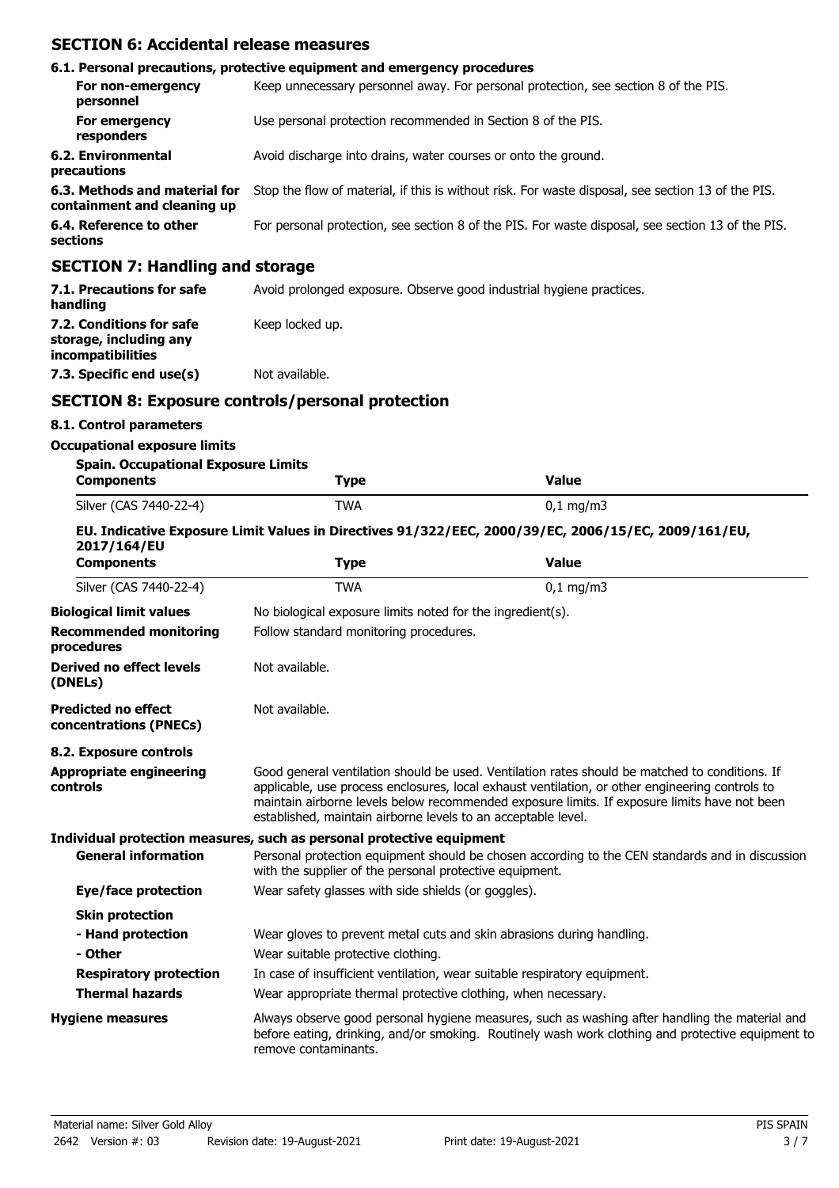### **SECTION 6: Accidental release measures**

|                                                              | 6.1. Personal precautions, protective equipment and emergency procedures                           |
|--------------------------------------------------------------|----------------------------------------------------------------------------------------------------|
| For non-emergency<br>personnel                               | Keep unnecessary personnel away. For personal protection, see section 8 of the PIS.                |
| For emergency<br>responders                                  | Use personal protection recommended in Section 8 of the PIS.                                       |
| 6.2. Environmental<br>precautions                            | Avoid discharge into drains, water courses or onto the ground.                                     |
| 6.3. Methods and material for<br>containment and cleaning up | Stop the flow of material, if this is without risk. For waste disposal, see section 13 of the PIS. |
| 6.4. Reference to other<br>sections                          | For personal protection, see section 8 of the PIS. For waste disposal, see section 13 of the PIS.  |
| <b>SECTION 7: Handling and storage</b>                       |                                                                                                    |
| 7.1 Drecautions for safe                                     | Avoid prolonged expecure. Observe good industrial bygiene practices                                |

| 7.1. Precautions for safe<br>handling                                   | Avoid prolonged exposure. Observe good industrial hygiene practices. |
|-------------------------------------------------------------------------|----------------------------------------------------------------------|
| 7.2. Conditions for safe<br>storage, including any<br>incompatibilities | Keep locked up.                                                      |
| 7.3. Specific end use(s)                                                | Not available.                                                       |

### **SECTION 8: Exposure controls/personal protection**

### **8.1. Control parameters**

#### **Occupational exposure limits**

| <b>Spain. Occupational Exposure Limits</b> |            |                        |  |
|--------------------------------------------|------------|------------------------|--|
| <b>Components</b>                          | Type       | Value                  |  |
| Silver (CAS 7440-22-4)                     | <b>TWA</b> | $0,1 \,\mathrm{mg/m3}$ |  |

#### **EU. Indicative Exposure Limit Values in Directives 91/322/EEC, 2000/39/EC, 2006/15/EC, 2009/161/EU, 2017/164/EU**

| <b>Components</b>                                    | <b>Type</b>                                                                                                                                                                                                                                                                                                                                                        | <b>Value</b>                                                                                                                                                                                        |  |  |
|------------------------------------------------------|--------------------------------------------------------------------------------------------------------------------------------------------------------------------------------------------------------------------------------------------------------------------------------------------------------------------------------------------------------------------|-----------------------------------------------------------------------------------------------------------------------------------------------------------------------------------------------------|--|--|
| Silver (CAS 7440-22-4)                               | <b>TWA</b>                                                                                                                                                                                                                                                                                                                                                         | $0,1$ mg/m3                                                                                                                                                                                         |  |  |
| <b>Biological limit values</b>                       | No biological exposure limits noted for the ingredient(s).                                                                                                                                                                                                                                                                                                         |                                                                                                                                                                                                     |  |  |
| <b>Recommended monitoring</b><br>procedures          | Follow standard monitoring procedures.                                                                                                                                                                                                                                                                                                                             |                                                                                                                                                                                                     |  |  |
| Derived no effect levels<br>(DNELs)                  | Not available.                                                                                                                                                                                                                                                                                                                                                     |                                                                                                                                                                                                     |  |  |
| <b>Predicted no effect</b><br>concentrations (PNECs) | Not available.                                                                                                                                                                                                                                                                                                                                                     |                                                                                                                                                                                                     |  |  |
| 8.2. Exposure controls                               |                                                                                                                                                                                                                                                                                                                                                                    |                                                                                                                                                                                                     |  |  |
| <b>Appropriate engineering</b><br>controls           | Good general ventilation should be used. Ventilation rates should be matched to conditions. If<br>applicable, use process enclosures, local exhaust ventilation, or other engineering controls to<br>maintain airborne levels below recommended exposure limits. If exposure limits have not been<br>established, maintain airborne levels to an acceptable level. |                                                                                                                                                                                                     |  |  |
|                                                      | Individual protection measures, such as personal protective equipment                                                                                                                                                                                                                                                                                              |                                                                                                                                                                                                     |  |  |
| <b>General information</b>                           | with the supplier of the personal protective equipment.                                                                                                                                                                                                                                                                                                            | Personal protection equipment should be chosen according to the CEN standards and in discussion                                                                                                     |  |  |
| <b>Eye/face protection</b>                           | Wear safety glasses with side shields (or goggles).                                                                                                                                                                                                                                                                                                                |                                                                                                                                                                                                     |  |  |
| <b>Skin protection</b>                               |                                                                                                                                                                                                                                                                                                                                                                    |                                                                                                                                                                                                     |  |  |
| - Hand protection<br>- Other                         | Wear suitable protective clothing.                                                                                                                                                                                                                                                                                                                                 | Wear gloves to prevent metal cuts and skin abrasions during handling.                                                                                                                               |  |  |
| <b>Respiratory protection</b>                        | In case of insufficient ventilation, wear suitable respiratory equipment.                                                                                                                                                                                                                                                                                          |                                                                                                                                                                                                     |  |  |
| <b>Thermal hazards</b>                               | Wear appropriate thermal protective clothing, when necessary.                                                                                                                                                                                                                                                                                                      |                                                                                                                                                                                                     |  |  |
| <b>Hygiene measures</b>                              | remove contaminants.                                                                                                                                                                                                                                                                                                                                               | Always observe good personal hygiene measures, such as washing after handling the material and<br>before eating, drinking, and/or smoking. Routinely wash work clothing and protective equipment to |  |  |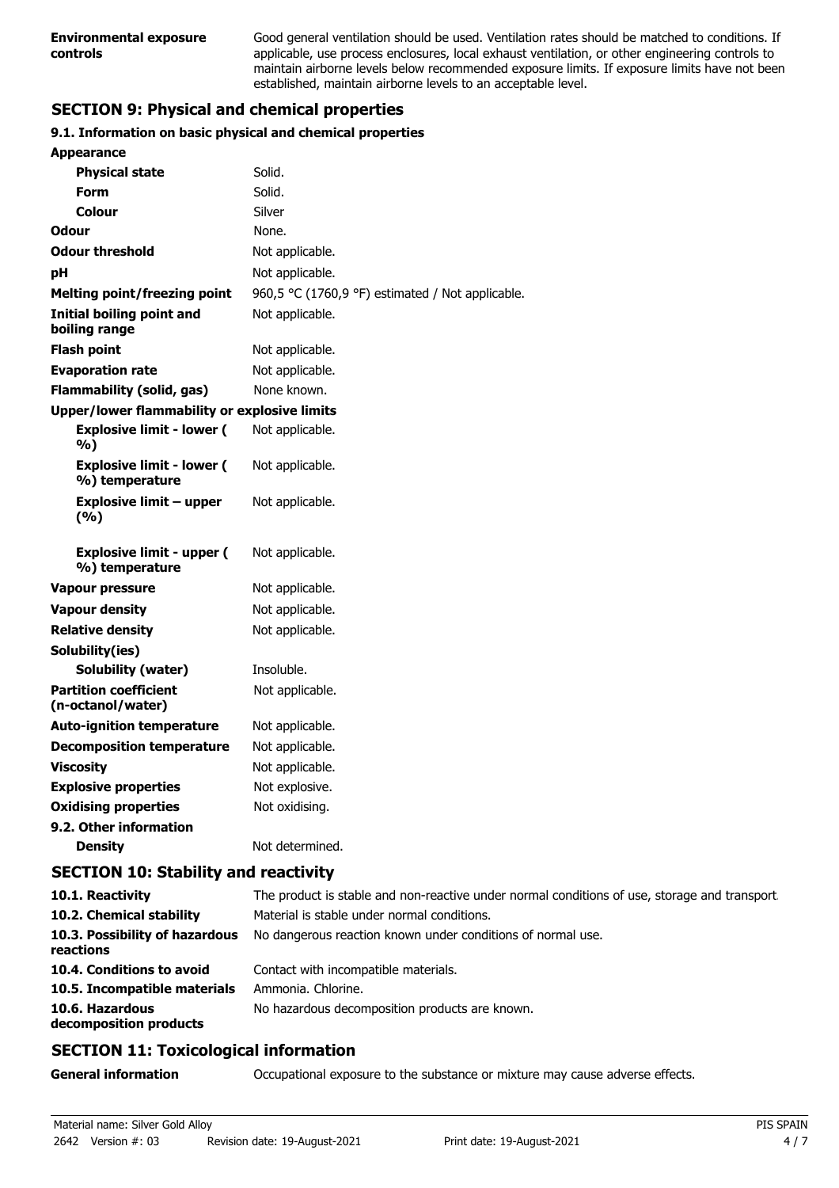Good general ventilation should be used. Ventilation rates should be matched to conditions. If applicable, use process enclosures, local exhaust ventilation, or other engineering controls to maintain airborne levels below recommended exposure limits. If exposure limits have not been established, maintain airborne levels to an acceptable level.

## **SECTION 9: Physical and chemical properties**

### **9.1. Information on basic physical and chemical properties**

| <b>Appearance</b>                                  |                                                  |
|----------------------------------------------------|--------------------------------------------------|
| <b>Physical state</b>                              | Solid.                                           |
| <b>Form</b>                                        | Solid.                                           |
| Colour                                             | Silver                                           |
| Odour                                              | None.                                            |
| <b>Odour threshold</b>                             | Not applicable.                                  |
| рH                                                 | Not applicable.                                  |
| Melting point/freezing point                       | 960,5 °C (1760,9 °F) estimated / Not applicable. |
| <b>Initial boiling point and</b><br>boiling range  | Not applicable.                                  |
| <b>Flash point</b>                                 | Not applicable.                                  |
| <b>Evaporation rate</b>                            | Not applicable.                                  |
| <b>Flammability (solid, gas)</b>                   | None known.                                      |
| Upper/lower flammability or explosive limits       |                                                  |
| <b>Explosive limit - lower (</b><br>%)             | Not applicable.                                  |
| <b>Explosive limit - lower (</b><br>%) temperature | Not applicable.                                  |
| <b>Explosive limit - upper</b><br>(%)              | Not applicable.                                  |
| <b>Explosive limit - upper (</b><br>%) temperature | Not applicable.                                  |
| <b>Vapour pressure</b>                             | Not applicable.                                  |
| <b>Vapour density</b>                              | Not applicable.                                  |
| <b>Relative density</b>                            | Not applicable.                                  |
| Solubility(ies)                                    |                                                  |
| <b>Solubility (water)</b>                          | Insoluble.                                       |
| <b>Partition coefficient</b><br>(n-octanol/water)  | Not applicable.                                  |
| <b>Auto-ignition temperature</b>                   | Not applicable.                                  |
| <b>Decomposition temperature</b>                   | Not applicable.                                  |
| <b>Viscosity</b>                                   | Not applicable.                                  |
| <b>Explosive properties</b>                        | Not explosive.                                   |
| <b>Oxidising properties</b>                        | Not oxidising.                                   |
| 9.2. Other information                             |                                                  |
| <b>Density</b>                                     | Not determined.                                  |

## **SECTION 10: Stability and reactivity**

| 10.1. Reactivity                            | The product is stable and non-reactive under normal conditions of use, storage and transport. |
|---------------------------------------------|-----------------------------------------------------------------------------------------------|
| 10.2. Chemical stability                    | Material is stable under normal conditions.                                                   |
| 10.3. Possibility of hazardous<br>reactions | No dangerous reaction known under conditions of normal use.                                   |
| 10.4. Conditions to avoid                   | Contact with incompatible materials.                                                          |
| 10.5. Incompatible materials                | Ammonia. Chlorine.                                                                            |
| 10.6. Hazardous<br>decomposition products   | No hazardous decomposition products are known.                                                |

## **SECTION 11: Toxicological information**

**General information CCCUPATION** Occupational exposure to the substance or mixture may cause adverse effects.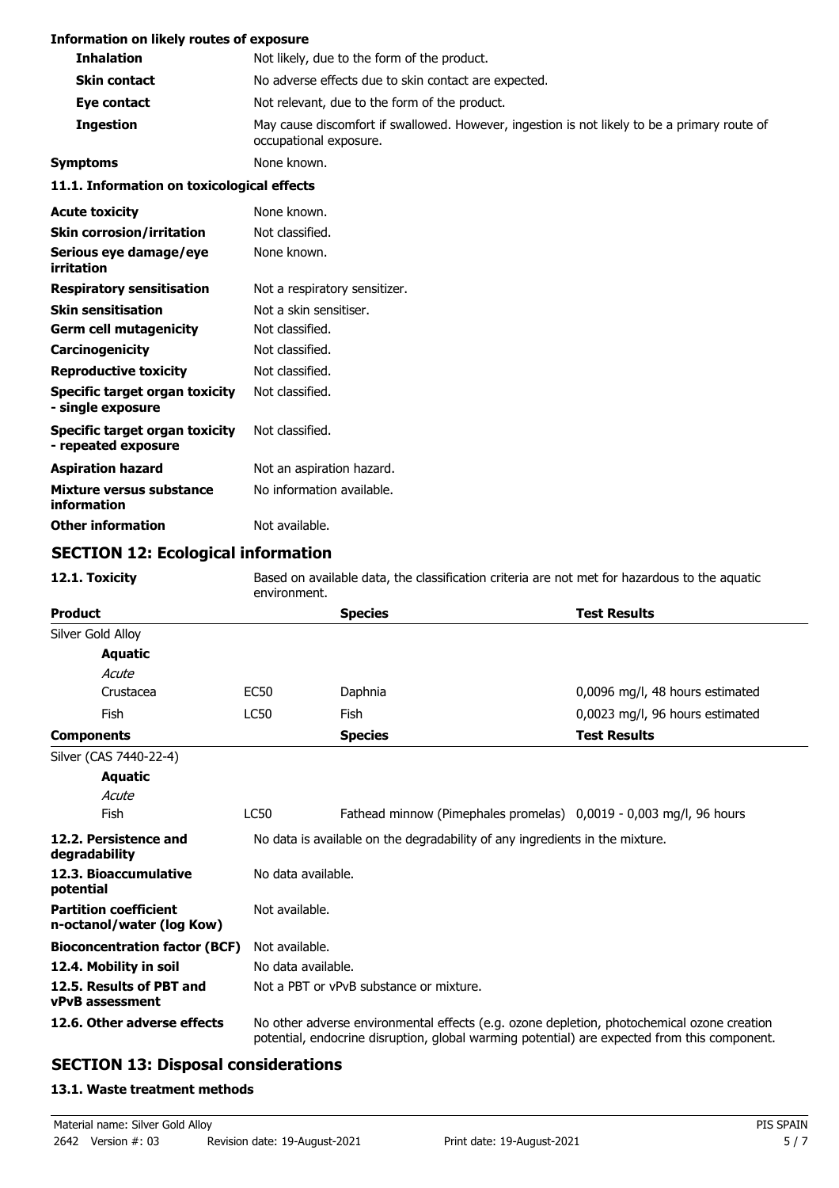### **Information on likely routes of exposure**

| INTER THE TERM IN THE TERM IN THE TERM IN THE TERM IN THE TERM IN THE TERM IN THE TERM IN THE TERM IN THE TERM |                                                                                                                        |  |  |
|----------------------------------------------------------------------------------------------------------------|------------------------------------------------------------------------------------------------------------------------|--|--|
| <b>Inhalation</b>                                                                                              | Not likely, due to the form of the product.                                                                            |  |  |
| <b>Skin contact</b>                                                                                            | No adverse effects due to skin contact are expected.                                                                   |  |  |
| Eye contact                                                                                                    | Not relevant, due to the form of the product.                                                                          |  |  |
| <b>Ingestion</b>                                                                                               | May cause discomfort if swallowed. However, ingestion is not likely to be a primary route of<br>occupational exposure. |  |  |
| <b>Symptoms</b>                                                                                                | None known.                                                                                                            |  |  |
| 11.1. Information on toxicological effects                                                                     |                                                                                                                        |  |  |
| <b>Acute toxicity</b>                                                                                          | None known.                                                                                                            |  |  |
| <b>Skin corrosion/irritation</b>                                                                               | Not classified.                                                                                                        |  |  |
| Serious eye damage/eye<br>irritation                                                                           | None known.                                                                                                            |  |  |
| <b>Respiratory sensitisation</b>                                                                               | Not a respiratory sensitizer.                                                                                          |  |  |
| <b>Skin sensitisation</b>                                                                                      | Not a skin sensitiser.                                                                                                 |  |  |
| <b>Germ cell mutagenicity</b>                                                                                  | Not classified.                                                                                                        |  |  |
| Carcinogenicity                                                                                                | Not classified.                                                                                                        |  |  |
| <b>Reproductive toxicity</b>                                                                                   | Not classified.                                                                                                        |  |  |
| Specific target organ toxicity<br>- single exposure                                                            | Not classified.                                                                                                        |  |  |
| Specific target organ toxicity<br>- repeated exposure                                                          | Not classified.                                                                                                        |  |  |
| <b>Aspiration hazard</b>                                                                                       | Not an aspiration hazard.                                                                                              |  |  |
| Mixture versus substance<br>information                                                                        | No information available.                                                                                              |  |  |
| <b>Other information</b>                                                                                       | Not available.                                                                                                         |  |  |

## **SECTION 12: Ecological information**

| 12.1. Toxicity                                            | Based on available data, the classification criteria are not met for hazardous to the aquatic<br>environment.                                                                              |                                                                    |                                 |  |  |
|-----------------------------------------------------------|--------------------------------------------------------------------------------------------------------------------------------------------------------------------------------------------|--------------------------------------------------------------------|---------------------------------|--|--|
| <b>Product</b>                                            |                                                                                                                                                                                            | <b>Species</b>                                                     | <b>Test Results</b>             |  |  |
| Silver Gold Alloy                                         |                                                                                                                                                                                            |                                                                    |                                 |  |  |
| <b>Aquatic</b>                                            |                                                                                                                                                                                            |                                                                    |                                 |  |  |
| Acute                                                     |                                                                                                                                                                                            |                                                                    |                                 |  |  |
| Crustacea                                                 | <b>EC50</b>                                                                                                                                                                                | Daphnia                                                            | 0,0096 mg/l, 48 hours estimated |  |  |
| Fish                                                      | <b>LC50</b>                                                                                                                                                                                | Fish                                                               | 0,0023 mg/l, 96 hours estimated |  |  |
| <b>Components</b>                                         |                                                                                                                                                                                            | <b>Species</b>                                                     | <b>Test Results</b>             |  |  |
| Silver (CAS 7440-22-4)                                    |                                                                                                                                                                                            |                                                                    |                                 |  |  |
| <b>Aquatic</b>                                            |                                                                                                                                                                                            |                                                                    |                                 |  |  |
| Acute                                                     |                                                                                                                                                                                            |                                                                    |                                 |  |  |
| Fish                                                      | <b>LC50</b>                                                                                                                                                                                | Fathead minnow (Pimephales promelas) 0,0019 - 0,003 mg/l, 96 hours |                                 |  |  |
| 12.2. Persistence and<br>degradability                    | No data is available on the degradability of any ingredients in the mixture.                                                                                                               |                                                                    |                                 |  |  |
| 12.3. Bioaccumulative<br>potential                        |                                                                                                                                                                                            | No data available.                                                 |                                 |  |  |
| <b>Partition coefficient</b><br>n-octanol/water (log Kow) | Not available.                                                                                                                                                                             |                                                                    |                                 |  |  |
| <b>Bioconcentration factor (BCF)</b>                      | Not available.                                                                                                                                                                             |                                                                    |                                 |  |  |
| 12.4. Mobility in soil                                    |                                                                                                                                                                                            | No data available.                                                 |                                 |  |  |
| 12.5. Results of PBT and<br><b>vPvB</b> assessment        |                                                                                                                                                                                            | Not a PBT or vPvB substance or mixture.                            |                                 |  |  |
| 12.6. Other adverse effects                               | No other adverse environmental effects (e.g. ozone depletion, photochemical ozone creation<br>potential, endocrine disruption, global warming potential) are expected from this component. |                                                                    |                                 |  |  |

# **SECTION 13: Disposal considerations**

### **13.1. Waste treatment methods**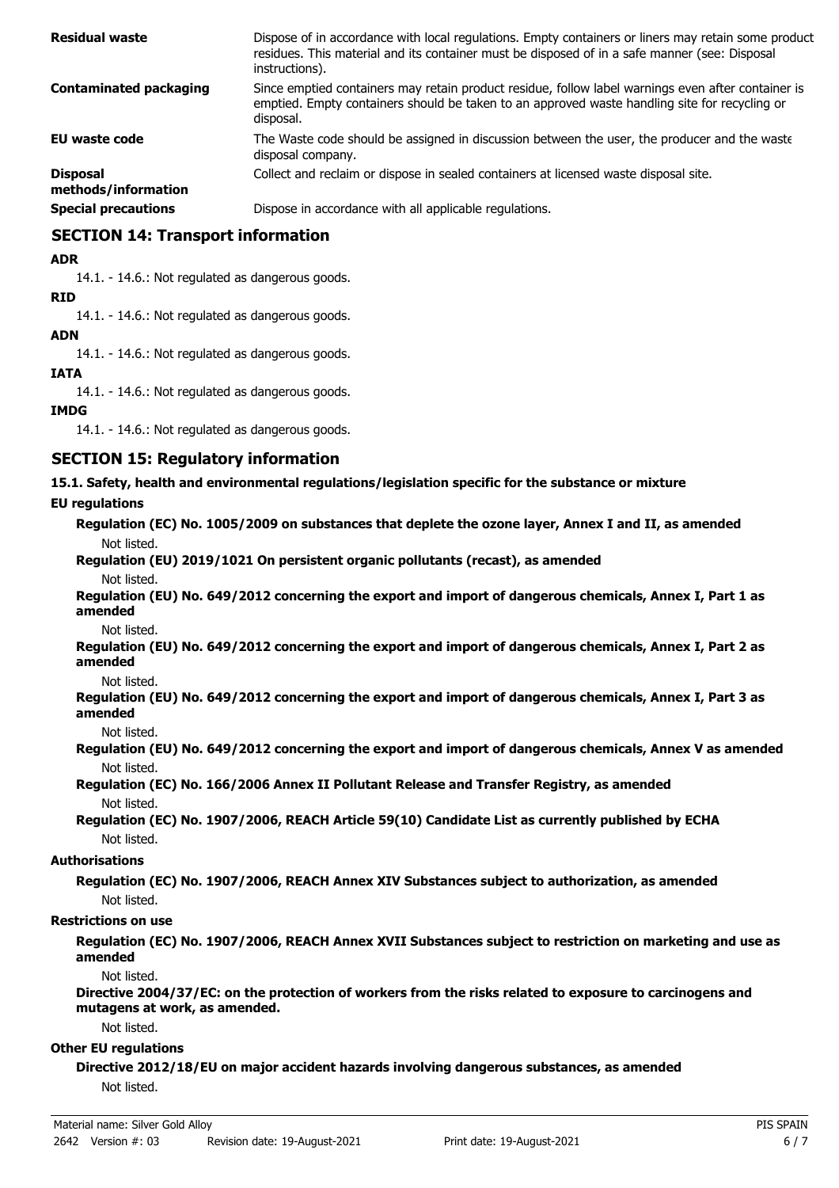| <b>Residual waste</b>                  | Dispose of in accordance with local regulations. Empty containers or liners may retain some product<br>residues. This material and its container must be disposed of in a safe manner (see: Disposal<br>instructions). |
|----------------------------------------|------------------------------------------------------------------------------------------------------------------------------------------------------------------------------------------------------------------------|
| <b>Contaminated packaging</b>          | Since emptied containers may retain product residue, follow label warnings even after container is<br>emptied. Empty containers should be taken to an approved waste handling site for recycling or<br>disposal.       |
| <b>EU waste code</b>                   | The Waste code should be assigned in discussion between the user, the producer and the waste<br>disposal company.                                                                                                      |
| <b>Disposal</b><br>methods/information | Collect and reclaim or dispose in sealed containers at licensed waste disposal site.                                                                                                                                   |
| <b>Special precautions</b>             | Dispose in accordance with all applicable regulations.                                                                                                                                                                 |

## **SECTION 14: Transport information**

#### **ADR**

14.1. - 14.6.: Not regulated as dangerous goods.

#### **RID**

14.1. - 14.6.: Not regulated as dangerous goods.

### **ADN**

14.1. - 14.6.: Not regulated as dangerous goods.

#### **IATA**

14.1. - 14.6.: Not regulated as dangerous goods.

### **IMDG**

14.1. - 14.6.: Not regulated as dangerous goods.

### **SECTION 15: Regulatory information**

**15.1. Safety, health and environmental regulations/legislation specific for the substance or mixture**

### **EU regulations**

**Regulation (EC) No. 1005/2009 on substances that deplete the ozone layer, Annex I and II, as amended** Not listed.

# **Regulation (EU) 2019/1021 On persistent organic pollutants (recast), as amended**

Not listed.

**Regulation (EU) No. 649/2012 concerning the export and import of dangerous chemicals, Annex I, Part 1 as amended**

Not listed.

**Regulation (EU) No. 649/2012 concerning the export and import of dangerous chemicals, Annex I, Part 2 as amended**

Not listed.

**Regulation (EU) No. 649/2012 concerning the export and import of dangerous chemicals, Annex I, Part 3 as amended**

Not listed.

**Regulation (EU) No. 649/2012 concerning the export and import of dangerous chemicals, Annex V as amended** Not listed.

**Regulation (EC) No. 166/2006 Annex II Pollutant Release and Transfer Registry, as amended** Not listed.

**Regulation (EC) No. 1907/2006, REACH Article 59(10) Candidate List as currently published by ECHA** Not listed.

### **Authorisations**

**Regulation (EC) No. 1907/2006, REACH Annex XIV Substances subject to authorization, as amended** Not listed.

#### **Restrictions on use**

**Regulation (EC) No. 1907/2006, REACH Annex XVII Substances subject to restriction on marketing and use as amended**

Not listed.

**Directive 2004/37/EC: on the protection of workers from the risks related to exposure to carcinogens and mutagens at work, as amended.**

Not listed.

#### **Other EU regulations**

**Directive 2012/18/EU on major accident hazards involving dangerous substances, as amended** Not listed.